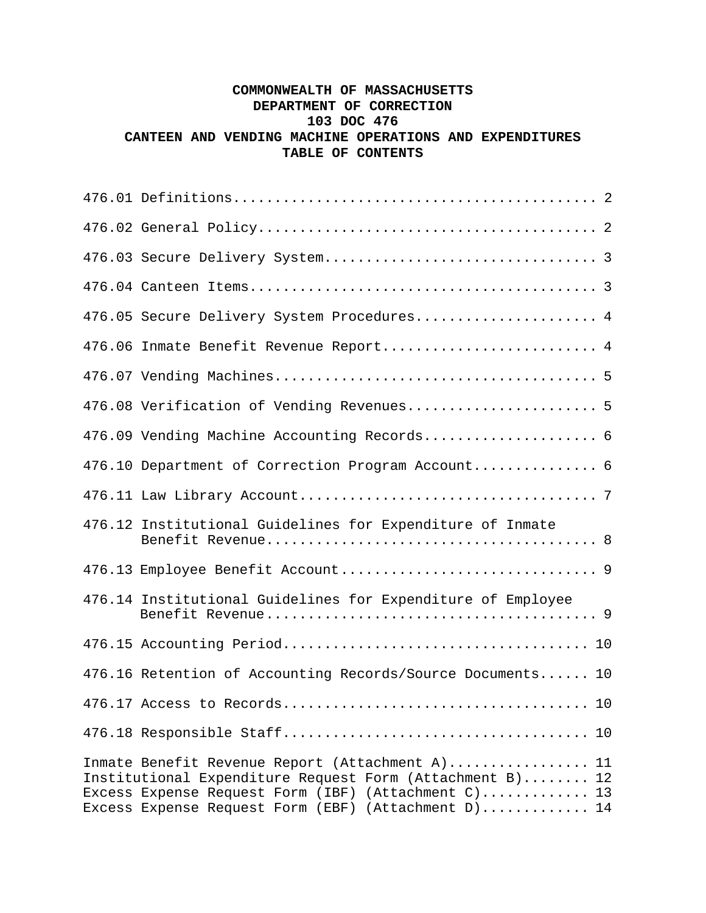## **COMMONWEALTH OF MASSACHUSETTS DEPARTMENT OF CORRECTION 103 DOC 476 CANTEEN AND VENDING MACHINE OPERATIONS AND EXPENDITURES TABLE OF CONTENTS**

| 476.05 Secure Delivery System Procedures 4                                                                                                                                                                                |
|---------------------------------------------------------------------------------------------------------------------------------------------------------------------------------------------------------------------------|
| 476.06 Inmate Benefit Revenue Report 4                                                                                                                                                                                    |
|                                                                                                                                                                                                                           |
| 476.08 Verification of Vending Revenues 5                                                                                                                                                                                 |
| 476.09 Vending Machine Accounting Records 6                                                                                                                                                                               |
| 476.10 Department of Correction Program Account 6                                                                                                                                                                         |
|                                                                                                                                                                                                                           |
| 476.12 Institutional Guidelines for Expenditure of Inmate                                                                                                                                                                 |
|                                                                                                                                                                                                                           |
| 476.14 Institutional Guidelines for Expenditure of Employee                                                                                                                                                               |
|                                                                                                                                                                                                                           |
| 476.16 Retention of Accounting Records/Source Documents 10                                                                                                                                                                |
|                                                                                                                                                                                                                           |
|                                                                                                                                                                                                                           |
| Inmate Benefit Revenue Report (Attachment A) 11<br>Institutional Expenditure Request Form (Attachment B) 12<br>Excess Expense Request Form (IBF) (Attachment C) 13<br>Excess Expense Request Form (EBF) (Attachment D) 14 |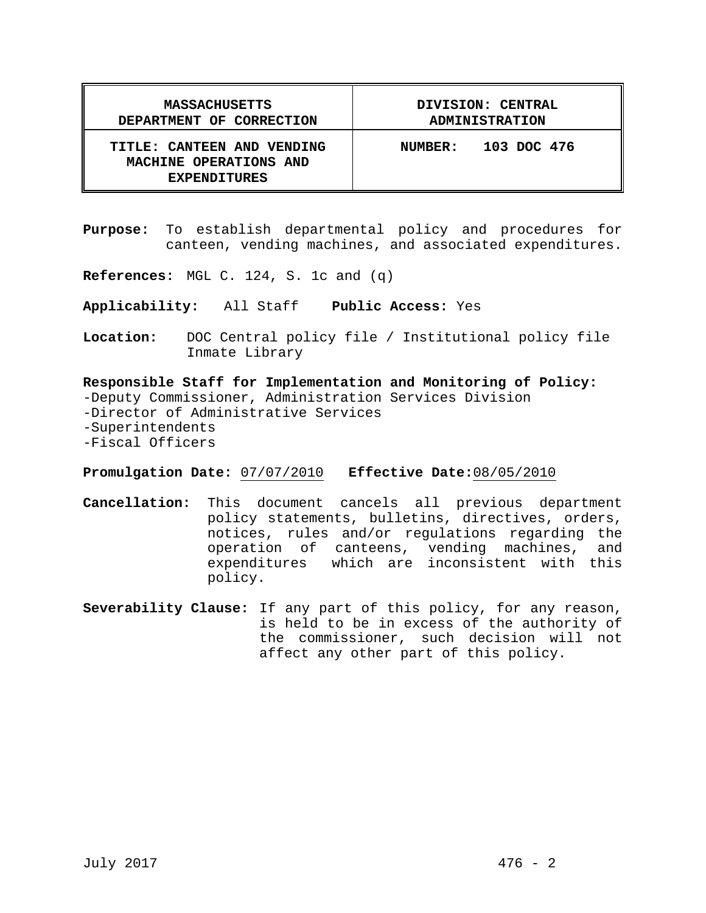| <b>MASSACHUSETTS</b>                                                        | DIVISION: CENTRAL              |
|-----------------------------------------------------------------------------|--------------------------------|
| DEPARTMENT OF CORRECTION                                                    | <b>ADMINISTRATION</b>          |
| TITLE: CANTEEN AND VENDING<br>MACHINE OPERATIONS AND<br><b>EXPENDITURES</b> | 103 DOC 476<br><b>NUMBER :</b> |

**Purpose:** To establish departmental policy and procedures for canteen, vending machines, and associated expenditures.

**References:** MGL C. 124, S. 1c and (q)

**Applicability:** All Staff **Public Access:** Yes

**Location:** DOC Central policy file / Institutional policy file Inmate Library

**Responsible Staff for Implementation and Monitoring of Policy:** -Deputy Commissioner, Administration Services Division -Director of Administrative Services -Superintendents -Fiscal Officers

**Promulgation Date:** 07/07/2010 **Effective Date:**08/05/2010

- **Cancellation:** This document cancels all previous department policy statements, bulletins, directives, orders, notices, rules and/or regulations regarding the operation of canteens, vending machines, and expenditures which are inconsistent with this policy.
- **Severability Clause:** If any part of this policy, for any reason, is held to be in excess of the authority of the commissioner, such decision will not affect any other part of this policy.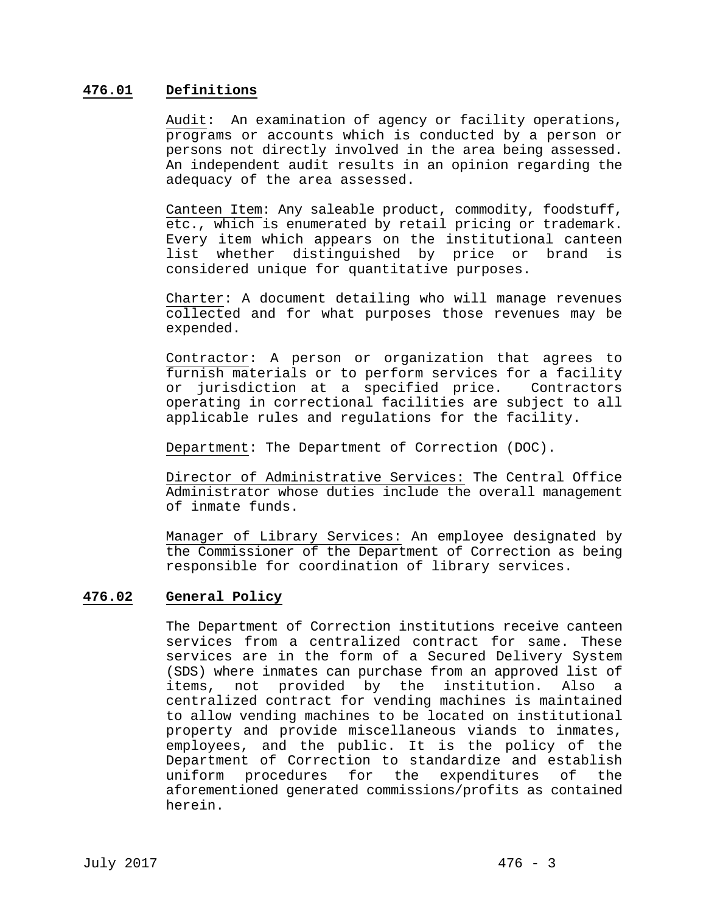#### **476.01 Definitions**

Audit: An examination of agency or facility operations, programs or accounts which is conducted by a person or persons not directly involved in the area being assessed. An independent audit results in an opinion regarding the adequacy of the area assessed.

Canteen Item: Any saleable product, commodity, foodstuff, etc., which is enumerated by retail pricing or trademark. Every item which appears on the institutional canteen list whether distinguished by price or brand is considered unique for quantitative purposes.

Charter: A document detailing who will manage revenues collected and for what purposes those revenues may be expended.

Contractor: A person or organization that agrees to furnish materials or to perform services for a facility or jurisdiction at a specified price. Contractors operating in correctional facilities are subject to all applicable rules and regulations for the facility.

Department: The Department of Correction (DOC).

Director of Administrative Services: The Central Office Administrator whose duties include the overall management of inmate funds.

Manager of Library Services: An employee designated by the Commissioner of the Department of Correction as being responsible for coordination of library services.

### **476.02 General Policy**

The Department of Correction institutions receive canteen services from a centralized contract for same. These services are in the form of a Secured Delivery System (SDS) where inmates can purchase from an approved list of items, not provided by the institution. Also a centralized contract for vending machines is maintained to allow vending machines to be located on institutional property and provide miscellaneous viands to inmates, employees, and the public. It is the policy of the Department of Correction to standardize and establish uniform procedures for the expenditures of the aforementioned generated commissions/profits as contained herein.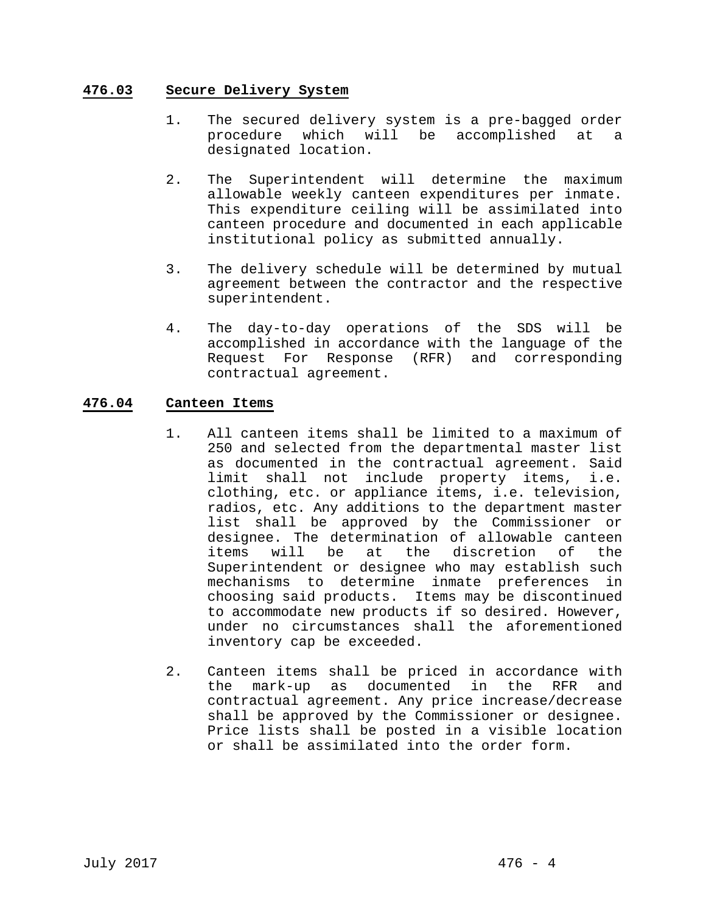#### **476.03 Secure Delivery System**

- 1. The secured delivery system is a pre-bagged order procedure which will be accomplished at a designated location.
- 2. The Superintendent will determine the maximum allowable weekly canteen expenditures per inmate. This expenditure ceiling will be assimilated into canteen procedure and documented in each applicable institutional policy as submitted annually.
- 3. The delivery schedule will be determined by mutual agreement between the contractor and the respective superintendent.
- 4. The day-to-day operations of the SDS will be accomplished in accordance with the language of the Request For Response (RFR) and corresponding contractual agreement.

### **476.04 Canteen Items**

- 1. All canteen items shall be limited to a maximum of 250 and selected from the departmental master list as documented in the contractual agreement. Said limit shall not include property items, i.e. clothing, etc. or appliance items, i.e. television, radios, etc. Any additions to the department master list shall be approved by the Commissioner or designee. The determination of allowable canteen items will be at the discretion of the Superintendent or designee who may establish such mechanisms to determine inmate preferences in choosing said products. Items may be discontinued to accommodate new products if so desired. However, under no circumstances shall the aforementioned inventory cap be exceeded.
- 2. Canteen items shall be priced in accordance with the mark-up as documented in the RFR and contractual agreement. Any price increase/decrease shall be approved by the Commissioner or designee. Price lists shall be posted in a visible location or shall be assimilated into the order form.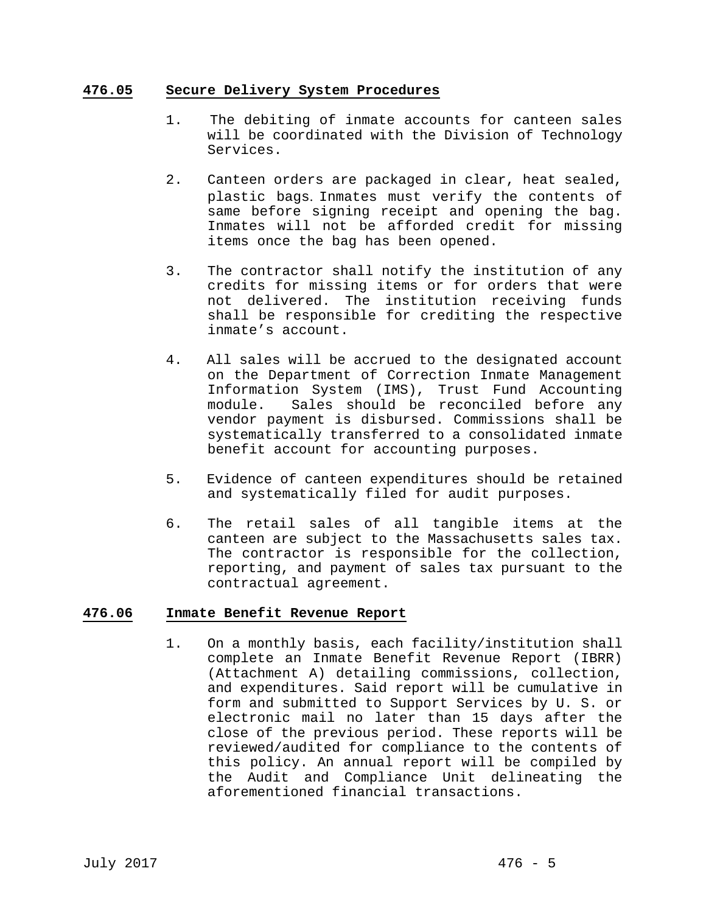#### **476.05 Secure Delivery System Procedures**

- 1. The debiting of inmate accounts for canteen sales will be coordinated with the Division of Technology Services.
- 2. Canteen orders are packaged in clear, heat sealed, plastic bags. Inmates must verify the contents of same before signing receipt and opening the bag. Inmates will not be afforded credit for missing items once the bag has been opened.
- 3. The contractor shall notify the institution of any credits for missing items or for orders that were not delivered. The institution receiving funds shall be responsible for crediting the respective inmate's account.
- 4. All sales will be accrued to the designated account on the Department of Correction Inmate Management Information System (IMS), Trust Fund Accounting module. Sales should be reconciled before any vendor payment is disbursed. Commissions shall be systematically transferred to a consolidated inmate benefit account for accounting purposes.
- 5. Evidence of canteen expenditures should be retained and systematically filed for audit purposes.
- 6. The retail sales of all tangible items at the canteen are subject to the Massachusetts sales tax. The contractor is responsible for the collection, reporting, and payment of sales tax pursuant to the contractual agreement.

### **476.06 Inmate Benefit Revenue Report**

1. On a monthly basis, each facility/institution shall complete an Inmate Benefit Revenue Report (IBRR) (Attachment A) detailing commissions, collection, and expenditures. Said report will be cumulative in form and submitted to Support Services by U. S. or electronic mail no later than 15 days after the close of the previous period. These reports will be reviewed/audited for compliance to the contents of this policy. An annual report will be compiled by the Audit and Compliance Unit delineating the aforementioned financial transactions.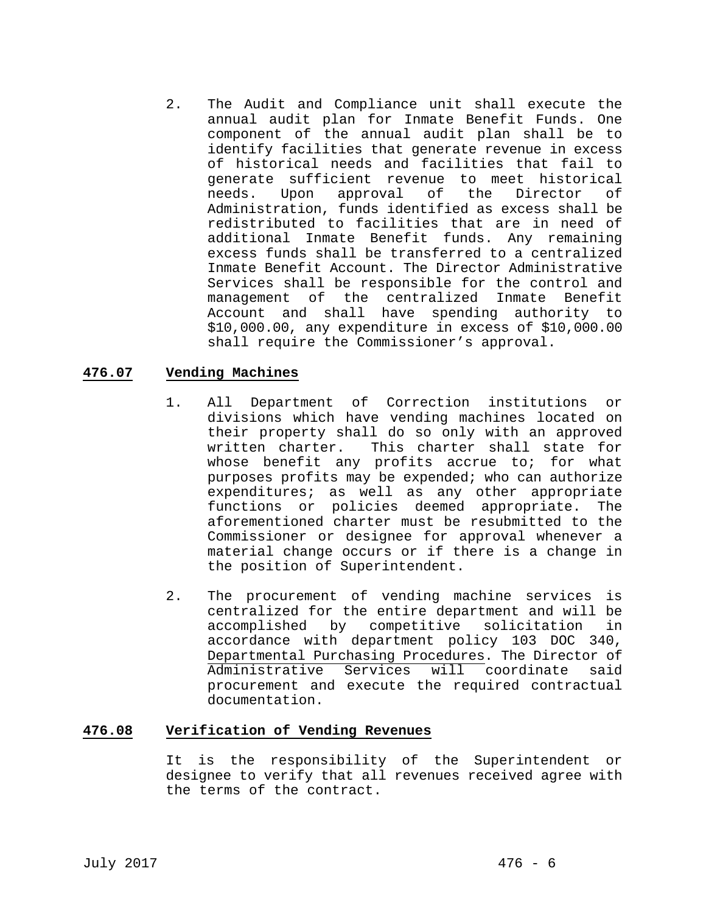2. The Audit and Compliance unit shall execute the annual audit plan for Inmate Benefit Funds. One component of the annual audit plan shall be to identify facilities that generate revenue in excess of historical needs and facilities that fail to generate sufficient revenue to meet historical<br>needs. Upon approval of the Director of needs. Upon approval of the Director of Administration, funds identified as excess shall be redistributed to facilities that are in need of additional Inmate Benefit funds. Any remaining excess funds shall be transferred to a centralized Inmate Benefit Account. The Director Administrative Services shall be responsible for the control and management of the centralized Inmate Benefit Account and shall have spending authority to \$10,000.00, any expenditure in excess of \$10,000.00 shall require the Commissioner's approval.

## **476.07 Vending Machines**

- 1. All Department of Correction institutions or divisions which have vending machines located on their property shall do so only with an approved written charter. This charter shall state for whose benefit any profits accrue to; for what purposes profits may be expended; who can authorize expenditures; as well as any other appropriate functions or policies deemed appropriate. The aforementioned charter must be resubmitted to the Commissioner or designee for approval whenever a material change occurs or if there is a change in the position of Superintendent.
- 2. The procurement of vending machine services is centralized for the entire department and will be accomplished by competitive solicitation in accordance with department policy 103 DOC 340, Departmental Purchasing Procedures. The Director of Administrative Services will coordinate said procurement and execute the required contractual documentation.

### **476.08 Verification of Vending Revenues**

It is the responsibility of the Superintendent or designee to verify that all revenues received agree with the terms of the contract.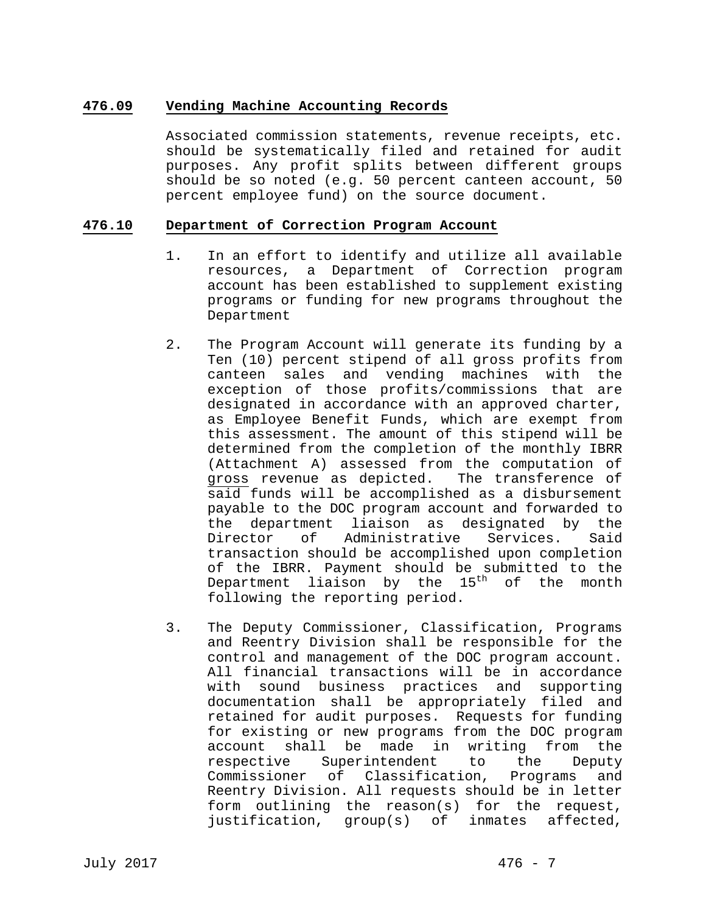## **476.09 Vending Machine Accounting Records**

Associated commission statements, revenue receipts, etc. should be systematically filed and retained for audit purposes. Any profit splits between different groups should be so noted (e.g. 50 percent canteen account, 50 percent employee fund) on the source document.

#### **476.10 Department of Correction Program Account**

- 1. In an effort to identify and utilize all available resources, a Department of Correction program account has been established to supplement existing programs or funding for new programs throughout the Department
- 2. The Program Account will generate its funding by a Ten (10) percent stipend of all gross profits from canteen sales and vending machines with the exception of those profits/commissions that are designated in accordance with an approved charter, as Employee Benefit Funds, which are exempt from this assessment. The amount of this stipend will be determined from the completion of the monthly IBRR (Attachment A) assessed from the computation of gross revenue as depicted. The transference of said funds will be accomplished as a disbursement payable to the DOC program account and forwarded to the department liaison as designated by the Director of Administrative Services. Said transaction should be accomplished upon completion of the IBRR. Payment should be submitted to the Department liaison by the  $15<sup>th</sup>$  of the month following the reporting period.
- 3. The Deputy Commissioner, Classification, Programs and Reentry Division shall be responsible for the control and management of the DOC program account. All financial transactions will be in accordance with sound business practices and supporting documentation shall be appropriately filed and retained for audit purposes. Requests for funding for existing or new programs from the DOC program account shall be made in writing from the respective Superintendent to the Deputy Commissioner of Classification, Programs and Reentry Division. All requests should be in letter form outlining the reason(s) for the request, justification, group(s) of inmates affected,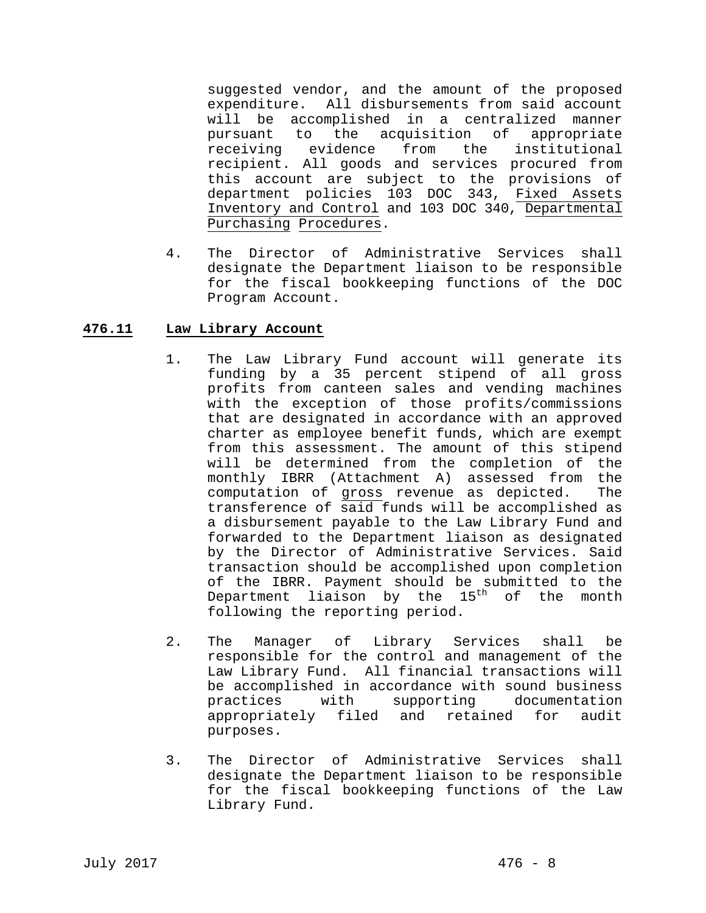suggested vendor, and the amount of the proposed expenditure. All disbursements from said account will be accomplished in a centralized manner pursuant to the acquisition of appropriate receiving evidence from the institutional recipient. All goods and services procured from this account are subject to the provisions of department policies 103 DOC 343, Fixed Assets Inventory and Control and 103 DOC 340, Departmental Purchasing Procedures.

4. The Director of Administrative Services shall designate the Department liaison to be responsible for the fiscal bookkeeping functions of the DOC Program Account.

## **476.11 Law Library Account**

- 1. The Law Library Fund account will generate its funding by a 35 percent stipend of all gross profits from canteen sales and vending machines with the exception of those profits/commissions that are designated in accordance with an approved charter as employee benefit funds, which are exempt from this assessment. The amount of this stipend will be determined from the completion of the monthly IBRR (Attachment A) assessed from the computation of gross revenue as depicted. The transference of said funds will be accomplished as a disbursement payable to the Law Library Fund and forwarded to the Department liaison as designated by the Director of Administrative Services. Said transaction should be accomplished upon completion of the IBRR. Payment should be submitted to the Department liaison by the  $15<sup>th</sup>$  of the month following the reporting period.
- 2. The Manager of Library Services shall be responsible for the control and management of the Law Library Fund. All financial transactions will be accomplished in accordance with sound business practices with supporting documentation appropriately filed and retained for audit purposes.
- 3. The Director of Administrative Services shall designate the Department liaison to be responsible for the fiscal bookkeeping functions of the Law Library Fund.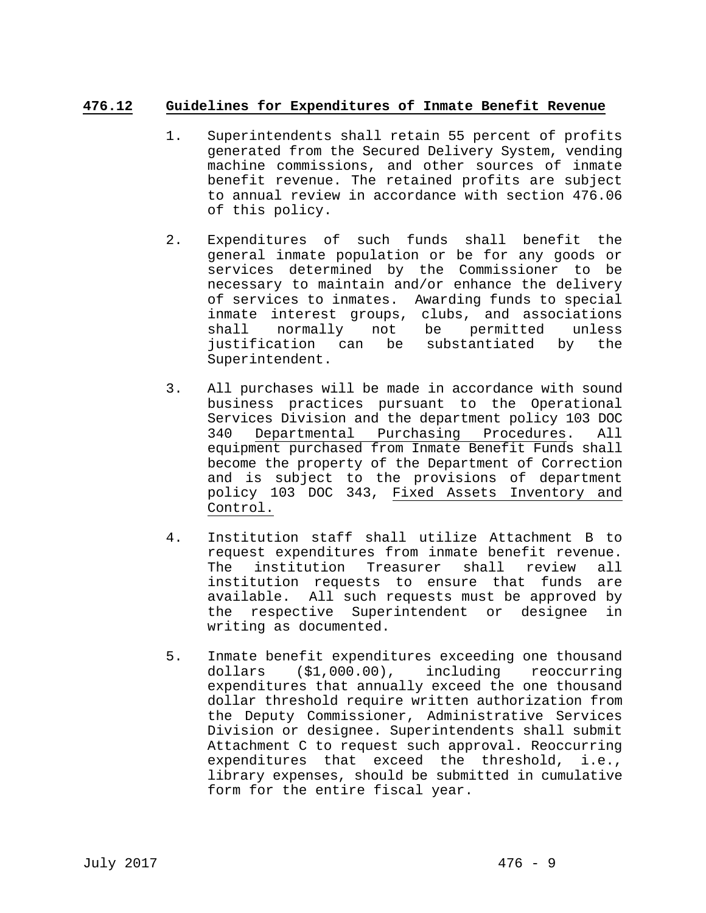### **476.12 Guidelines for Expenditures of Inmate Benefit Revenue**

- 1. Superintendents shall retain 55 percent of profits generated from the Secured Delivery System, vending machine commissions, and other sources of inmate benefit revenue. The retained profits are subject to annual review in accordance with section 476.06 of this policy.
- 2. Expenditures of such funds shall benefit the general inmate population or be for any goods or services determined by the Commissioner to be necessary to maintain and/or enhance the delivery of services to inmates. Awarding funds to special inmate interest groups, clubs, and associations shall normally not be permitted unless justification can be substantiated by the Superintendent.
- 3. All purchases will be made in accordance with sound business practices pursuant to the Operational Services Division and the department policy 103 DOC 340 Departmental Purchasing Procedures. All equipment purchased from Inmate Benefit Funds shall become the property of the Department of Correction and is subject to the provisions of department policy 103 DOC 343, Fixed Assets Inventory and Control.
- 4. Institution staff shall utilize Attachment B to request expenditures from inmate benefit revenue. The institution Treasurer shall review all institution requests to ensure that funds are available. All such requests must be approved by the respective Superintendent or designee in writing as documented.
- 5. Inmate benefit expenditures exceeding one thousand dollars (\$1,000.00), including reoccurring expenditures that annually exceed the one thousand dollar threshold require written authorization from the Deputy Commissioner, Administrative Services Division or designee. Superintendents shall submit Attachment C to request such approval. Reoccurring expenditures that exceed the threshold, i.e., library expenses, should be submitted in cumulative form for the entire fiscal year.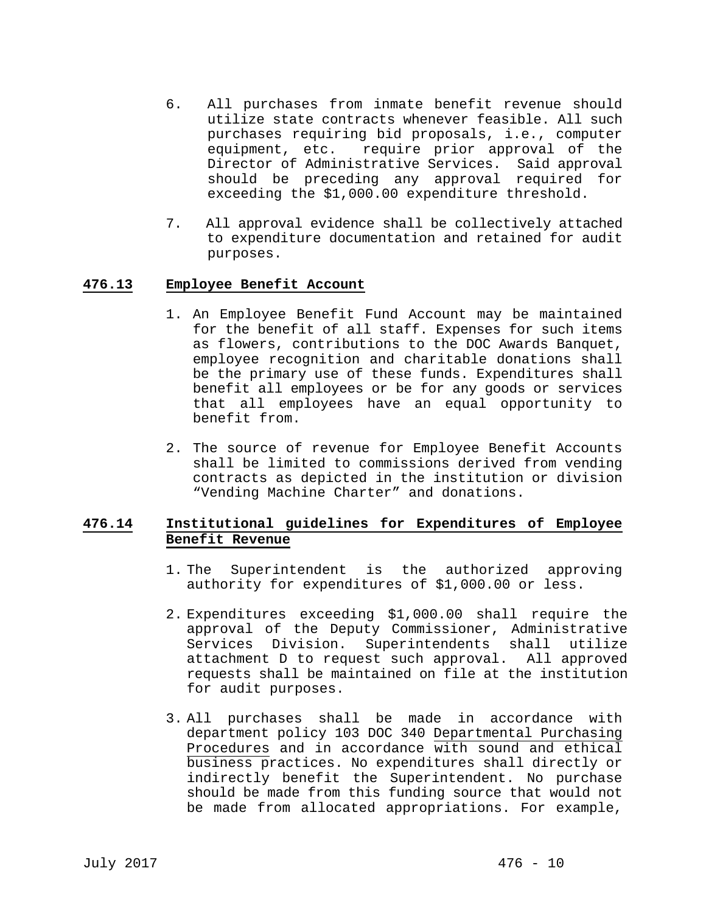- 6. All purchases from inmate benefit revenue should utilize state contracts whenever feasible. All such purchases requiring bid proposals, i.e., computer equipment, etc. require prior approval of the Director of Administrative Services. Said approval should be preceding any approval required for exceeding the \$1,000.00 expenditure threshold.
- 7. All approval evidence shall be collectively attached to expenditure documentation and retained for audit purposes.

#### **476.13 Employee Benefit Account**

- 1. An Employee Benefit Fund Account may be maintained for the benefit of all staff. Expenses for such items as flowers, contributions to the DOC Awards Banquet, employee recognition and charitable donations shall be the primary use of these funds. Expenditures shall benefit all employees or be for any goods or services that all employees have an equal opportunity to benefit from.
- 2. The source of revenue for Employee Benefit Accounts shall be limited to commissions derived from vending contracts as depicted in the institution or division "Vending Machine Charter" and donations.

### **476.14 Institutional guidelines for Expenditures of Employee Benefit Revenue**

- 1. The Superintendent is the authorized approving authority for expenditures of \$1,000.00 or less.
- 2. Expenditures exceeding \$1,000.00 shall require the approval of the Deputy Commissioner, Administrative Services Division. Superintendents shall utilize attachment D to request such approval. All approved requests shall be maintained on file at the institution for audit purposes.
- 3. All purchases shall be made in accordance with department policy 103 DOC 340 Departmental Purchasing Procedures and in accordance with sound and ethical business practices. No expenditures shall directly or indirectly benefit the Superintendent. No purchase should be made from this funding source that would not be made from allocated appropriations. For example,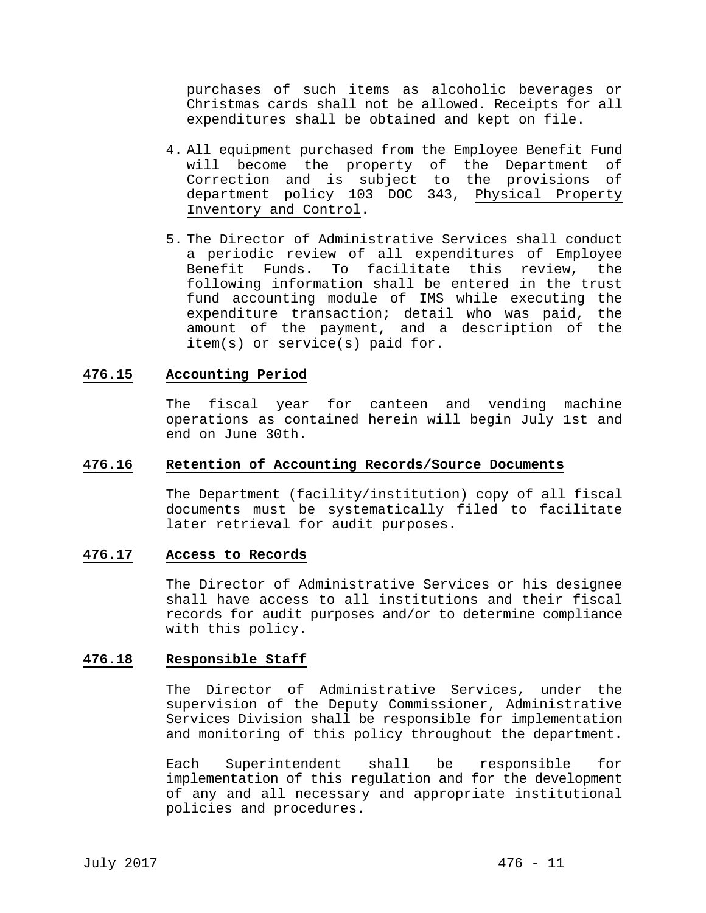purchases of such items as alcoholic beverages or Christmas cards shall not be allowed. Receipts for all expenditures shall be obtained and kept on file.

- 4. All equipment purchased from the Employee Benefit Fund will become the property of the Department of Correction and is subject to the provisions of department policy 103 DOC 343, Physical Property Inventory and Control.
- 5. The Director of Administrative Services shall conduct a periodic review of all expenditures of Employee Benefit Funds. To facilitate this review, the following information shall be entered in the trust fund accounting module of IMS while executing the expenditure transaction; detail who was paid, the amount of the payment, and a description of the item(s) or service(s) paid for.

#### **476.15 Accounting Period**

The fiscal year for canteen and vending machine operations as contained herein will begin July 1st and end on June 30th.

#### **476.16 Retention of Accounting Records/Source Documents**

The Department (facility/institution) copy of all fiscal documents must be systematically filed to facilitate later retrieval for audit purposes.

#### **476.17 Access to Records**

The Director of Administrative Services or his designee shall have access to all institutions and their fiscal records for audit purposes and/or to determine compliance with this policy.

### **476.18 Responsible Staff**

The Director of Administrative Services, under the supervision of the Deputy Commissioner, Administrative Services Division shall be responsible for implementation and monitoring of this policy throughout the department.

Each Superintendent shall be responsible for implementation of this regulation and for the development of any and all necessary and appropriate institutional policies and procedures.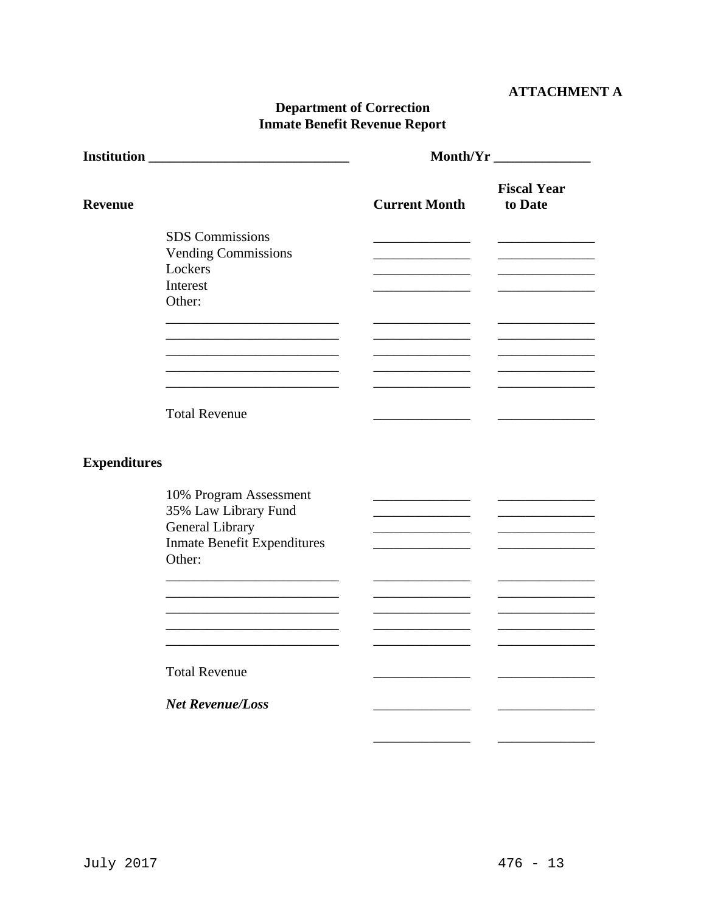# **ATTACHMENT A**

# **Department of Correction Inmate Benefit Revenue Report**

|                     |                                                                                                                   | <b>Month/Yr</b>                                     |                               |  |
|---------------------|-------------------------------------------------------------------------------------------------------------------|-----------------------------------------------------|-------------------------------|--|
| <b>Revenue</b>      |                                                                                                                   | <b>Current Month</b>                                | <b>Fiscal Year</b><br>to Date |  |
|                     | <b>SDS</b> Commissions<br><b>Vending Commissions</b><br>Lockers<br>Interest<br>Other:                             |                                                     |                               |  |
|                     | <b>Total Revenue</b>                                                                                              |                                                     |                               |  |
| <b>Expenditures</b> |                                                                                                                   |                                                     |                               |  |
|                     | 10% Program Assessment<br>35% Law Library Fund<br>General Library<br><b>Inmate Benefit Expenditures</b><br>Other: | <u> 1980 - Jan Samuel Barbara, politik e</u> ta pro |                               |  |
|                     | <b>Total Revenue</b>                                                                                              |                                                     |                               |  |
|                     | <b>Net Revenue/Loss</b>                                                                                           |                                                     |                               |  |
|                     |                                                                                                                   |                                                     |                               |  |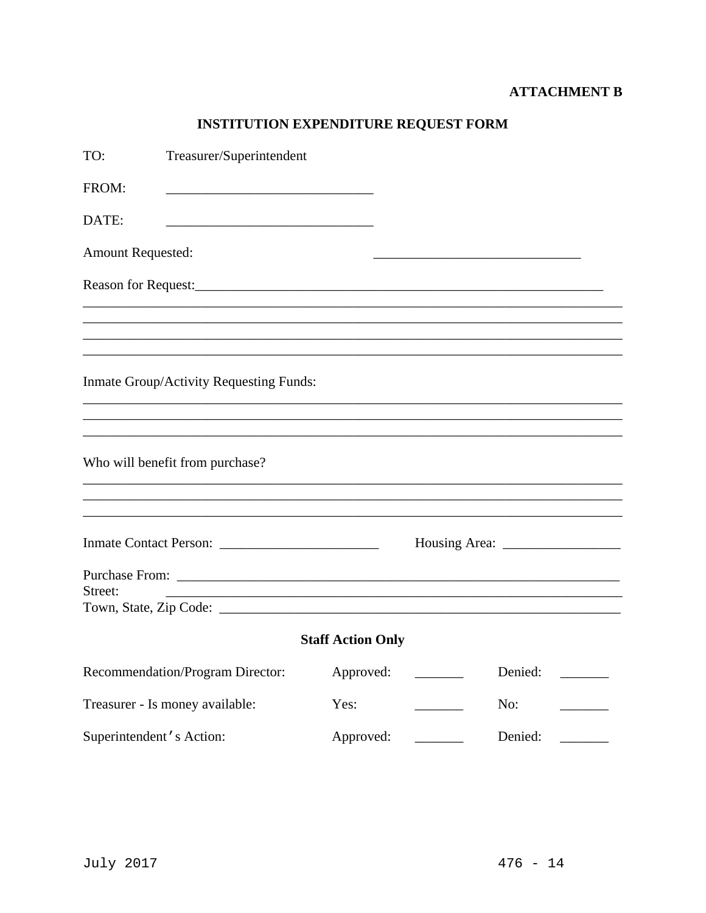# **ATTACHMENT B**

# INSTITUTION EXPENDITURE REQUEST FORM

| TO:                      | Treasurer/Superintendent                |                          |                                                                                                                                                                                                                                                                                                                                                                                                         |  |
|--------------------------|-----------------------------------------|--------------------------|---------------------------------------------------------------------------------------------------------------------------------------------------------------------------------------------------------------------------------------------------------------------------------------------------------------------------------------------------------------------------------------------------------|--|
| FROM:                    |                                         |                          |                                                                                                                                                                                                                                                                                                                                                                                                         |  |
| DATE:                    |                                         |                          |                                                                                                                                                                                                                                                                                                                                                                                                         |  |
| <b>Amount Requested:</b> |                                         |                          |                                                                                                                                                                                                                                                                                                                                                                                                         |  |
|                          |                                         |                          |                                                                                                                                                                                                                                                                                                                                                                                                         |  |
|                          |                                         |                          |                                                                                                                                                                                                                                                                                                                                                                                                         |  |
|                          |                                         |                          |                                                                                                                                                                                                                                                                                                                                                                                                         |  |
|                          | Inmate Group/Activity Requesting Funds: |                          |                                                                                                                                                                                                                                                                                                                                                                                                         |  |
|                          |                                         |                          |                                                                                                                                                                                                                                                                                                                                                                                                         |  |
|                          | Who will benefit from purchase?         |                          |                                                                                                                                                                                                                                                                                                                                                                                                         |  |
|                          |                                         |                          |                                                                                                                                                                                                                                                                                                                                                                                                         |  |
|                          |                                         |                          | Housing Area: $\frac{1}{\sqrt{1-\frac{1}{2}} \cdot \frac{1}{2}}$                                                                                                                                                                                                                                                                                                                                        |  |
| Street:                  |                                         |                          |                                                                                                                                                                                                                                                                                                                                                                                                         |  |
|                          |                                         |                          |                                                                                                                                                                                                                                                                                                                                                                                                         |  |
|                          |                                         | <b>Staff Action Only</b> |                                                                                                                                                                                                                                                                                                                                                                                                         |  |
|                          | Recommendation/Program Director:        | Approved:                | Denied:<br><u>and the state</u><br>$\mathcal{L}=\frac{1}{2} \sum_{i=1}^{n} \frac{1}{2} \sum_{i=1}^{n} \frac{1}{2} \sum_{i=1}^{n} \frac{1}{2} \sum_{i=1}^{n} \frac{1}{2} \sum_{i=1}^{n} \frac{1}{2} \sum_{i=1}^{n} \frac{1}{2} \sum_{i=1}^{n} \frac{1}{2} \sum_{i=1}^{n} \frac{1}{2} \sum_{i=1}^{n} \frac{1}{2} \sum_{i=1}^{n} \frac{1}{2} \sum_{i=1}^{n} \frac{1}{2} \sum_{i=1}^{n} \frac{1}{2} \sum_{$ |  |
|                          | Treasurer - Is money available:         | Yes:                     | No:                                                                                                                                                                                                                                                                                                                                                                                                     |  |
|                          | Superintendent's Action:                | Approved:                | Denied:                                                                                                                                                                                                                                                                                                                                                                                                 |  |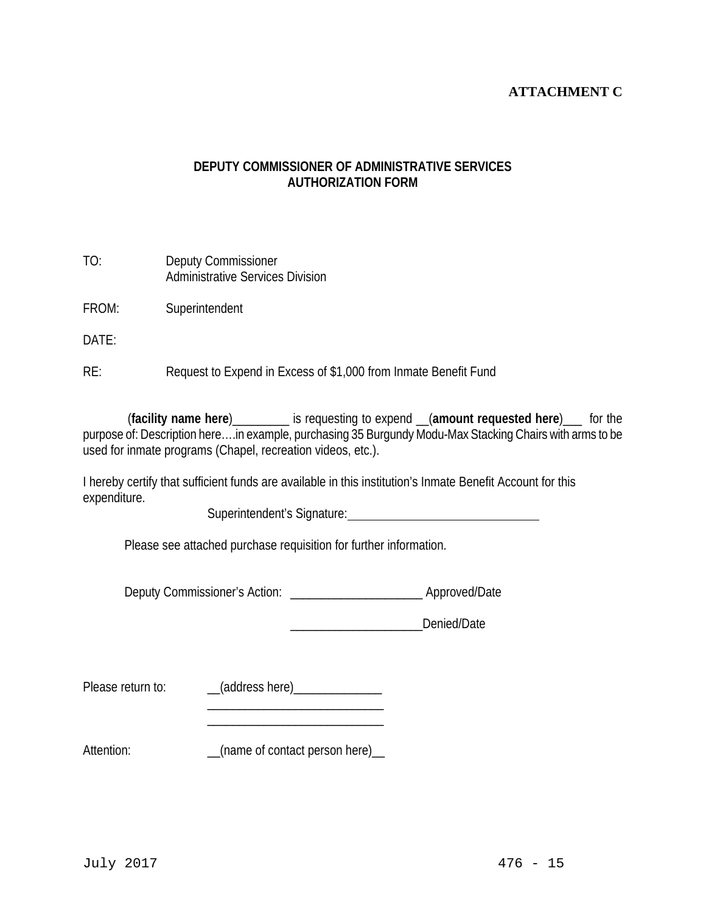# **ATTACHMENT C**

# **DEPUTY COMMISSIONER OF ADMINISTRATIVE SERVICES AUTHORIZATION FORM**

| TO: | Deputy Commissioner                     |
|-----|-----------------------------------------|
|     | <b>Administrative Services Division</b> |

FROM: Superintendent

DATE:

RE: Request to Expend in Excess of \$1,000 from Inmate Benefit Fund

 (**facility name here**)\_\_\_\_\_\_\_\_\_ is requesting to expend \_\_(**amount requested here**)\_\_\_ for the purpose of: Description here….in example, purchasing 35 Burgundy Modu-Max Stacking Chairs with arms to be used for inmate programs (Chapel, recreation videos, etc.).

I hereby certify that sufficient funds are available in this institution's Inmate Benefit Account for this expenditure.

Superintendent's Signature:<br>
<u>
</u>

Please see attached purchase requisition for further information.

Deputy Commissioner's Action: \_\_\_\_\_\_\_\_\_\_\_\_\_\_\_\_\_\_\_\_\_\_\_\_\_\_\_\_\_\_\_ Approved/Date

\_\_\_\_\_\_\_\_\_\_\_\_\_\_\_\_\_\_\_\_\_Denied/Date

Please return to: \_\_\_\_\_(address here)\_\_\_\_\_\_\_\_\_\_\_\_\_\_\_

 $\frac{1}{\sqrt{2}}$  ,  $\frac{1}{\sqrt{2}}$  ,  $\frac{1}{\sqrt{2}}$  ,  $\frac{1}{\sqrt{2}}$  ,  $\frac{1}{\sqrt{2}}$  ,  $\frac{1}{\sqrt{2}}$  ,  $\frac{1}{\sqrt{2}}$  ,  $\frac{1}{\sqrt{2}}$  ,  $\frac{1}{\sqrt{2}}$  ,  $\frac{1}{\sqrt{2}}$  ,  $\frac{1}{\sqrt{2}}$  ,  $\frac{1}{\sqrt{2}}$  ,  $\frac{1}{\sqrt{2}}$  ,  $\frac{1}{\sqrt{2}}$  ,  $\frac{1}{\sqrt{2}}$ 

 $\overline{\phantom{a}}$  ,  $\overline{\phantom{a}}$  ,  $\overline{\phantom{a}}$  ,  $\overline{\phantom{a}}$  ,  $\overline{\phantom{a}}$  ,  $\overline{\phantom{a}}$  ,  $\overline{\phantom{a}}$  ,  $\overline{\phantom{a}}$  ,  $\overline{\phantom{a}}$  ,  $\overline{\phantom{a}}$  ,  $\overline{\phantom{a}}$  ,  $\overline{\phantom{a}}$  ,  $\overline{\phantom{a}}$  ,  $\overline{\phantom{a}}$  ,  $\overline{\phantom{a}}$  ,  $\overline{\phantom{a}}$ 

Attention: \_\_\_\_\_\_\_\_\_\_\_\_\_\_(name of contact person here)